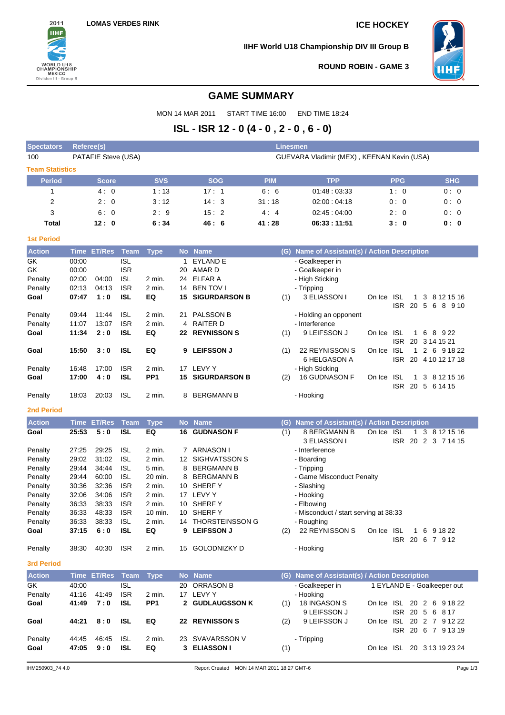

**IIHF World U18 Championship DIV III Group B**



**ROUND ROBIN - GAME 3**

# **GAME SUMMARY**

MON 14 MAR 2011 START TIME 16:00 END TIME 18:24

# **ISL - ISR 12 - 0 (4 - 0 , 2 - 0 , 6 - 0)**

| <b>Spectators</b>      | <b>Referee(s)</b> |                     |                          |                  |                                            |                         | <b>Linesmen</b> |                                               |                                      |                                     |  |
|------------------------|-------------------|---------------------|--------------------------|------------------|--------------------------------------------|-------------------------|-----------------|-----------------------------------------------|--------------------------------------|-------------------------------------|--|
| 100                    |                   | PATAFIE Steve (USA) |                          |                  | GUEVARA Vladimir (MEX), KEENAN Kevin (USA) |                         |                 |                                               |                                      |                                     |  |
| <b>Team Statistics</b> |                   |                     |                          |                  |                                            |                         |                 |                                               |                                      |                                     |  |
| <b>Period</b>          |                   | <b>Score</b>        |                          | <b>SVS</b>       |                                            | <b>SOG</b>              | <b>PIM</b>      | <b>TPP</b>                                    | <b>PPG</b>                           | <b>SHG</b>                          |  |
| 1                      |                   | 4:0                 |                          | 1:13             |                                            | 17:1                    | 6:6             | 01:48:03:33                                   | 1:0                                  | 0:0                                 |  |
| 2                      |                   | 2:0                 |                          | 3:12             |                                            | 14:3                    | 31:18           | 02:00:04:18                                   | 0:0                                  | 0:0                                 |  |
| 3                      |                   | 6:0                 |                          | 2:9              |                                            | 15:2                    | 4:4             | 02:45:04:00                                   | 2:0                                  | 0:0                                 |  |
| Total                  |                   | 12:0                |                          | 6:34             |                                            | 46: 6                   | 41 : 28         | 06:33:11:51                                   | 3: O                                 | 0: 0                                |  |
| <b>1st Period</b>      |                   |                     |                          |                  |                                            |                         |                 |                                               |                                      |                                     |  |
| <b>Action</b>          |                   | Time ET/Res         | Team                     | <b>Type</b>      |                                            | No Name                 |                 | (G) Name of Assistant(s) / Action Description |                                      |                                     |  |
| GK                     | 00:00             |                     | <b>ISL</b>               |                  | 1                                          | <b>EYLAND E</b>         |                 | - Goalkeeper in                               |                                      |                                     |  |
| GK                     | 00:00             |                     | <b>ISR</b>               |                  | 20                                         | AMAR D                  |                 | - Goalkeeper in                               |                                      |                                     |  |
| Penalty                | 02:00             | 04:00               | <b>ISL</b>               | 2 min.           |                                            | 24 ELFAR A              |                 | - High Sticking                               |                                      |                                     |  |
| Penalty                | 02:13             | 04:13               | <b>ISR</b>               | 2 min.           |                                            | 14 BEN TOV I            |                 | - Tripping                                    |                                      |                                     |  |
| Goal                   | 07:47             | 1:0                 | <b>ISL</b>               | EQ               |                                            | <b>15 SIGURDARSON B</b> | (1)             | 3 ELIASSON I                                  | <b>ISL</b><br>On Ice                 | 1 3 8 12 15 16<br>ISR 20 5 6 8 9 10 |  |
| Penalty                | 09:44             | 11:44               | <b>ISL</b>               | 2 min.           |                                            | 21 PALSSON B            |                 | - Holding an opponent                         |                                      |                                     |  |
| Penalty                | 11:07             | 13:07               | <b>ISR</b>               | 2 min.           |                                            | 4 RAITER D              |                 | - Interference                                |                                      |                                     |  |
| Goal                   | 11:34             | 2:0                 | <b>ISL</b>               | EQ               |                                            | 22 REYNISSON S          | (1)             | 9 LEIFSSON J                                  | ISL<br>On Ice                        | 1 6 8 9 22                          |  |
|                        |                   |                     |                          |                  |                                            |                         |                 |                                               | <b>ISR</b><br>$\mathbf{1}$           | 20 3 14 15 21<br>2 6 9 18 22        |  |
| Goal                   | 15:50             | 3:0                 | <b>ISL</b>               | EQ               |                                            | 9 LEIFSSON J            | (1)             | 22 REYNISSON S<br>6 HELGASON A                | On Ice<br>ISL<br><b>ISR</b>          | 20 4 10 12 17 18                    |  |
| Penalty                | 16:48             | 17:00               | <b>ISR</b>               | 2 min.           |                                            | 17 LEVY Y               |                 | - High Sticking                               |                                      |                                     |  |
| Goal                   | 17:00             | 4:0                 | <b>ISL</b>               | PP <sub>1</sub>  |                                            | <b>15 SIGURDARSON B</b> | (2)             | 16 GUDNASON F                                 | <b>ISL</b><br>On Ice<br>$\mathbf{1}$ | 3 8 1 2 1 5 1 6                     |  |
|                        |                   |                     |                          |                  |                                            |                         |                 |                                               |                                      | ISR 20 5 6 14 15                    |  |
| Penalty                | 18:03             | 20:03               | <b>ISL</b>               | 2 min.           | 8                                          | <b>BERGMANN B</b>       |                 | - Hooking                                     |                                      |                                     |  |
| <b>2nd Period</b>      |                   |                     |                          |                  |                                            |                         |                 |                                               |                                      |                                     |  |
| <b>Action</b>          |                   | <b>Time ET/Res</b>  | <b>Team</b>              | <b>Type</b>      |                                            | No Name                 |                 | (G) Name of Assistant(s) / Action Description |                                      |                                     |  |
| Goal                   | 25:53             | 5:0                 | <b>ISL</b>               | EQ               |                                            | <b>16 GUDNASON F</b>    | (1)             | 8 BERGMANN B<br>3 ELIASSON I                  | On Ice ISL<br>1                      | 3 8 12 15 16<br>ISR 20 2 3 7 14 15  |  |
| Penalty                | 27:25             | 29:25               | <b>ISL</b>               | 2 min.           |                                            | 7 ARNASON I             |                 | - Interference                                |                                      |                                     |  |
| Penalty                | 29:02             | 31:02               | <b>ISL</b>               | 2 min.           |                                            | 12 SIGHVATSSON S        |                 | - Boarding                                    |                                      |                                     |  |
| Penalty                | 29:44             | 34:44               | <b>ISL</b>               | 5 min.           | 8                                          | <b>BERGMANN B</b>       |                 | - Tripping                                    |                                      |                                     |  |
| Penalty                | 29:44             | 60:00               | <b>ISL</b>               | 20 min.          | 8                                          | <b>BERGMANN B</b>       |                 | - Game Misconduct Penalty                     |                                      |                                     |  |
| Penalty                | 30:36             | 32:36               | <b>ISR</b>               | 2 min.           |                                            | 10 SHERFY               |                 | - Slashing                                    |                                      |                                     |  |
| Penalty<br>Penalty     | 32:06<br>36:33    | 34:06<br>38:33      | <b>ISR</b><br><b>ISR</b> | 2 min.<br>2 min. |                                            | 17 LEVY Y<br>10 SHERFY  |                 | - Hooking<br>- Elbowing                       |                                      |                                     |  |
| Penalty                | 36:33             | 48:33               | <b>ISR</b>               | 10 min.          |                                            | 10 SHERFY               |                 | - Misconduct / start serving at 38:33         |                                      |                                     |  |
| Penalty                | 36:33             | 38:33               | <b>ISL</b>               | 2 min.           |                                            | 14 THORSTEINSSON G      |                 | - Roughing                                    |                                      |                                     |  |
| Goal                   | 37:15             | 6:0                 | <b>ISL</b>               | EQ               |                                            | 9 LEIFSSON J            | (2)             | 22 REYNISSON S                                | On Ice ISL                           | 1 6 9 18 22                         |  |
| Penalty                |                   | 38:30 40:30         | <b>ISR</b>               | 2 min.           |                                            | 15 GOLODNIZKY D         |                 | - Hooking                                     |                                      | ISR 20 6 7 9 12                     |  |
| <b>3rd Period</b>      |                   |                     |                          |                  |                                            |                         |                 |                                               |                                      |                                     |  |
|                        |                   |                     |                          |                  |                                            |                         |                 |                                               |                                      |                                     |  |
| <b>Action</b>          |                   | Time ET/Res         | Team                     | <b>Type</b>      |                                            | No Name                 |                 | (G) Name of Assistant(s) / Action Description |                                      |                                     |  |
| GK                     | 40:00             |                     | <b>ISL</b>               |                  |                                            | 20 ORRASON B            |                 | - Goalkeeper in                               | 1 EYLAND E - Goalkeeper out          |                                     |  |
| Penalty                | 41:16             | 41:49               | <b>ISR</b>               | 2 min.           |                                            | 17 LEVY Y               |                 | - Hooking                                     |                                      |                                     |  |
| Goal                   | 41:49             | 7:0                 | ISL                      | PP <sub>1</sub>  |                                            | <b>2 GUDLAUGSSON K</b>  | (1)             | 18 INGASON S                                  | On Ice ISL 20 2 6 9 18 22            |                                     |  |
| Goal                   | 44:21             | 8:0                 | <b>ISL</b>               | EQ               |                                            | 22 REYNISSON S          | (2)             | 9 LEIFSSON J<br>9 LEIFSSON J                  | On Ice ISL 20 2 7 9 12 22            | ISR 20 5 6 8 17                     |  |
| Penalty                | 44:45             | 46:45               | <b>ISL</b>               | 2 min.           |                                            | 23 SVAVARSSON V         |                 | - Tripping                                    |                                      | ISR 20 6 7 9 13 19                  |  |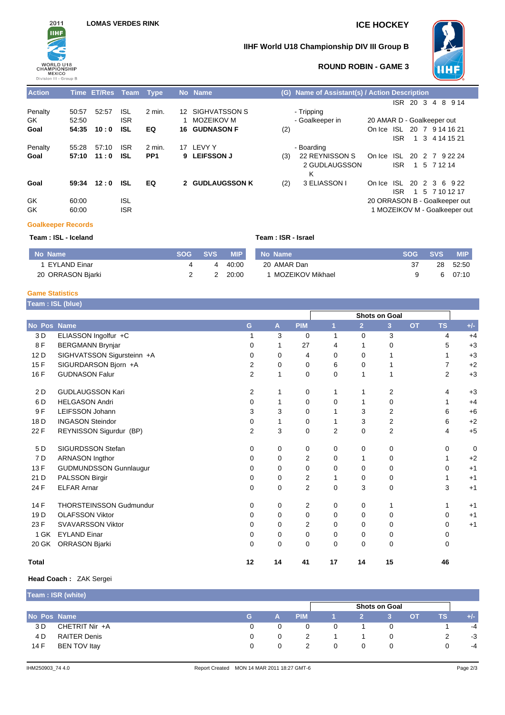

# **IIHF World U18 Championship DIV III Group B**



## **ROUND ROBIN - GAME 3**

| <b>Action</b> |       | Time ET/Res Team Type |            |                 |    | No Name              |     | (G) Name of Assistant(s) / Action Description |                            |      |                |                |             |                               |
|---------------|-------|-----------------------|------------|-----------------|----|----------------------|-----|-----------------------------------------------|----------------------------|------|----------------|----------------|-------------|-------------------------------|
|               |       |                       |            |                 |    |                      |     |                                               |                            | ISR. | 20 3           | $\overline{4}$ |             | 8 9 14                        |
| Penalty       | 50:57 | 52:57                 | <b>ISL</b> | $2$ min.        |    | 12 SIGHVATSSON S     |     | - Tripping                                    |                            |      |                |                |             |                               |
| GK.           | 52:50 |                       | <b>ISR</b> |                 |    | MOZEIKOV M           |     | - Goalkeeper in                               | 20 AMAR D - Goalkeeper out |      |                |                |             |                               |
| Goal          | 54:35 | 10:0                  | <b>ISL</b> | EQ              |    | <b>16 GUDNASON F</b> | (2) |                                               | On Ice                     |      |                |                |             | ISL 20 7 9 14 16 21           |
|               |       |                       |            |                 |    |                      |     |                                               |                            | ISR  |                |                |             | 1 3 4 14 15 21                |
| Penalty       | 55:28 | 57:10                 | <b>ISR</b> | 2 min.          | 17 | LEVY Y               |     | - Boarding                                    |                            |      |                |                |             |                               |
| Goal          | 57:10 | 11:0                  | <b>ISL</b> | PP <sub>1</sub> |    | 9 LEIFSSON J         | (3) | 22 REYNISSON S                                | On Ice                     | ISL. | -20            |                |             | 2 7 9 22 24                   |
|               |       |                       |            |                 |    |                      |     | 2 GUDLAUGSSON                                 |                            | ISR. | $\mathbf{1}$   |                | 5 7 1 2 1 4 |                               |
|               |       |                       |            |                 |    |                      |     | Κ                                             |                            |      |                |                |             |                               |
| Goal          | 59:34 | 12:0                  | <b>ISL</b> | EQ              |    | 2 GUDLAUGSSON K      | (2) | 3 ELIASSON I                                  | On Ice                     |      |                |                |             | ISL 20 2 3 6 9 22             |
|               |       |                       |            |                 |    |                      |     |                                               |                            | ISR  | $\overline{1}$ |                |             | 5 7 10 12 17                  |
| GK            | 60:00 |                       | <b>ISL</b> |                 |    |                      |     |                                               |                            |      |                |                |             | 20 ORRASON B - Goalkeeper out |
| GK            | 60:00 |                       | <b>ISR</b> |                 |    |                      |     |                                               |                            |      |                |                |             | 1 MOZEIKOV M - Goalkeeper out |

#### **Goalkeeper Records**

| Team: ISL - Iceland |            |            |            | Team : ISR - Israel |      |            |            |
|---------------------|------------|------------|------------|---------------------|------|------------|------------|
| No Name             | <b>SOG</b> | <b>SVS</b> | <b>MIP</b> | No Name             | SOG. | <b>SVS</b> | <b>MIP</b> |
| I EYLAND Einar      |            |            | 40:00      | 20 AMAR Dan         | 37   | 28         | 52:50      |
| 20 ORRASON Bjarki   |            |            | 20:00      | MOZEIKOV Mikhael    |      |            | 07:10      |

### **Game Statistics**

| Team : ISL (blue) |  |
|-------------------|--|
|                   |  |
|                   |  |
|                   |  |

|                 |                                |                | <b>Shots on Goal</b> |                |                |                |                |           |                |       |  |  |
|-----------------|--------------------------------|----------------|----------------------|----------------|----------------|----------------|----------------|-----------|----------------|-------|--|--|
| No Pos Name     |                                | G              | A                    | <b>PIM</b>     | И              | $\overline{2}$ | 3              | <b>OT</b> | <b>TS</b>      | $+/-$ |  |  |
| 3 D             | ELIASSON Ingolfur +C           |                | 3                    | 0              | 1              | $\Omega$       | 3              |           | 4              | $+4$  |  |  |
| 8F              | <b>BERGMANN Brynjar</b>        | 0              |                      | 27             | 4              |                | 0              |           | 5              | $+3$  |  |  |
| 12 D            | SIGHVATSSON Sigursteinn +A     | $\Omega$       | 0                    | 4              | 0              | $\mathbf 0$    |                |           |                | $+3$  |  |  |
| 15F             | SIGURDARSON Bjorn +A           | 2              | 0                    | 0              | 6              | 0              |                |           | $\overline{7}$ | $+2$  |  |  |
| 16 F            | <b>GUDNASON Falur</b>          | 2              | 1                    | 0              | 0              | $\mathbf 1$    |                |           | $\overline{2}$ | $+3$  |  |  |
| 2 D             | <b>GUDLAUGSSON Kari</b>        | 2              |                      | 0              | 1              | 1              | 2              |           | 4              | $+3$  |  |  |
| 6 D             | <b>HELGASON Andri</b>          | $\Omega$       |                      | 0              | $\Omega$       |                | 0              |           |                | $+4$  |  |  |
| 9F              | LEIFSSON Johann                | 3              | 3                    | 0              | 1              | 3              | $\overline{2}$ |           | 6              | $+6$  |  |  |
| 18 <sub>D</sub> | <b>INGASON Steindor</b>        | $\Omega$       |                      | 0              | 1              | 3              | $\overline{c}$ |           | 6              | $+2$  |  |  |
| 22 F            | REYNISSON Sigurdur (BP)        | $\overline{2}$ | 3                    | 0              | $\overline{2}$ | 0              | 2              |           | 4              | $+5$  |  |  |
| 5D              | <b>SIGURDSSON Stefan</b>       | 0              | 0                    | 0              | 0              | 0              | 0              |           | $\mathbf 0$    | 0     |  |  |
| 7 D             | <b>ARNASON Ingthor</b>         | $\Omega$       | 0                    | 2              | 0              | 1              | 0              |           |                | $+2$  |  |  |
| 13 F            | <b>GUDMUNDSSON Gunnlaugur</b>  | $\Omega$       | 0                    | 0              | 0              | 0              | 0              |           | 0              | $+1$  |  |  |
| 21 D            | PALSSON Birgir                 | $\Omega$       | 0                    | 2              | 1              | $\Omega$       | 0              |           |                | $+1$  |  |  |
| 24 F            | <b>ELFAR Arnar</b>             | $\Omega$       | 0                    | $\overline{2}$ | 0              | 3              | $\mathbf 0$    |           | 3              | $+1$  |  |  |
| 14 F            | <b>THORSTEINSSON Gudmundur</b> | $\Omega$       | 0                    | 2              | 0              | 0              |                |           | 1              | $+1$  |  |  |
| 19 <sub>D</sub> | <b>OLAFSSON Viktor</b>         | $\Omega$       | 0                    | 0              | 0              | $\Omega$       | 0              |           | 0              | $+1$  |  |  |
| 23 F            | <b>SVAVARSSON Viktor</b>       | $\Omega$       | 0                    | 2              | 0              | 0              | 0              |           | 0              | $+1$  |  |  |
| 1 GK            | <b>EYLAND Einar</b>            | $\Omega$       | 0                    | 0              | 0              | 0              | 0              |           | 0              |       |  |  |
| 20 GK           | ORRASON Bjarki                 | $\Omega$       | 0                    | 0              | 0              | $\Omega$       | 0              |           | 0              |       |  |  |
| <b>Total</b>    |                                | 12             | 14                   | 41             | 17             | 14             | 15             |           | 46             |       |  |  |

#### **Head Coach :** ZAK Sergei

**Team : ISR (white)**

|             | <b>Team: ISR (White)</b> |    |            |            |              |   |   |           |     |       |
|-------------|--------------------------|----|------------|------------|--------------|---|---|-----------|-----|-------|
|             |                          |    |            |            |              |   |   |           |     |       |
| No Pos Name |                          | G. | <b>TAN</b> | <b>PIM</b> |              |   |   | <b>OT</b> | TS. | $+/-$ |
| 3 D         | CHETRIT Nir +A           |    |            |            | $\Omega$     |   |   |           |     | $-4$  |
| 4 D         | <b>RAITER Denis</b>      |    |            |            |              |   |   |           |     | $-3$  |
| 14 F        | BEN TOV Itay             |    |            |            | $\mathbf{U}$ | 0 | 0 |           |     | $-4$  |
|             |                          |    |            |            |              |   |   |           |     |       |